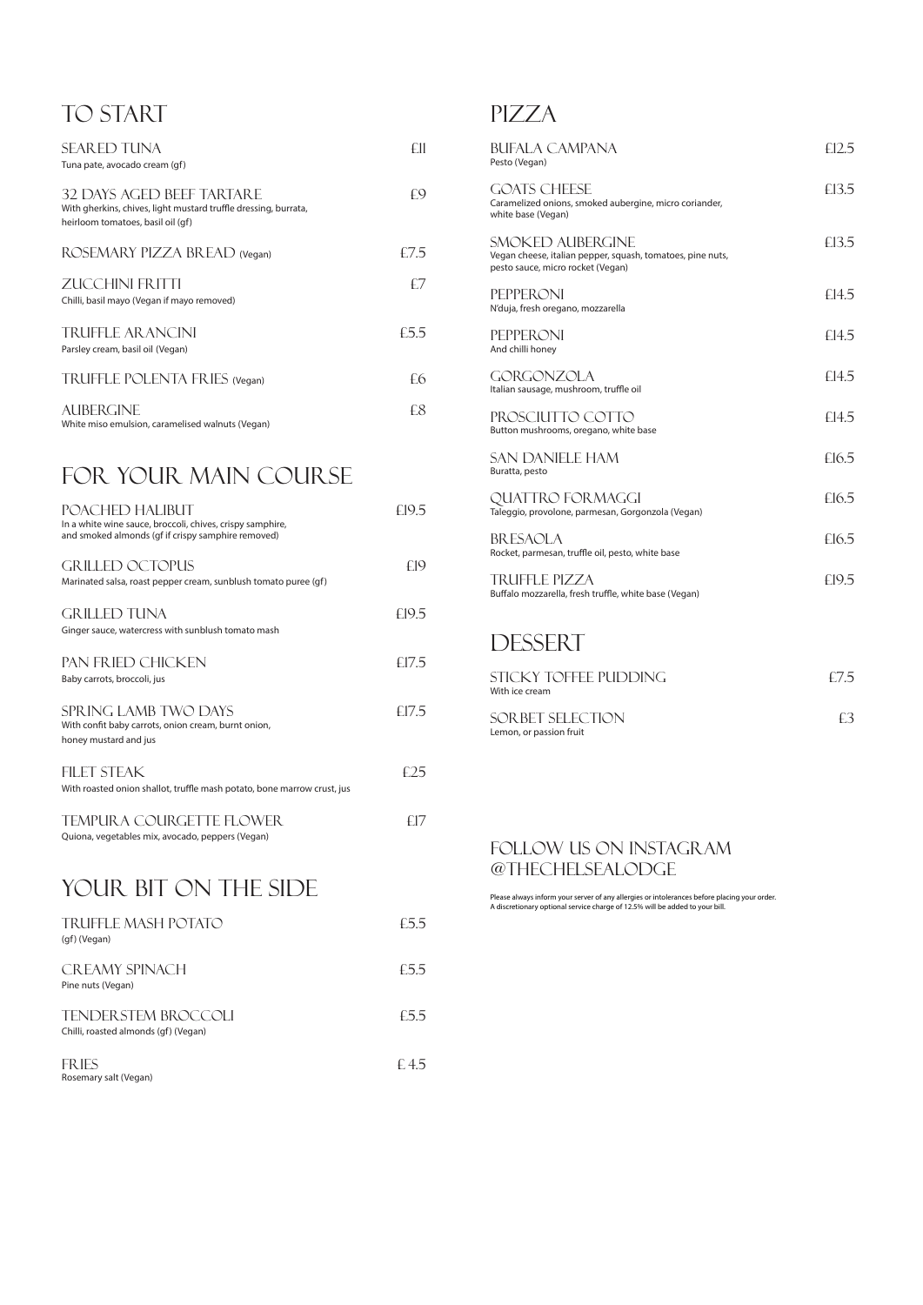## TO START

| <b>SEARED TUNA</b><br>Tuna pate, avocado cream (gf)                                                                                      |      |
|------------------------------------------------------------------------------------------------------------------------------------------|------|
| <b>32 DAYS AGED BEEF TARTARE</b><br>With gherkins, chives, light mustard truffle dressing, burrata,<br>heirloom tomatoes, basil oil (qf) | £9   |
| ROSEMARY PIZZA BREAD (Vegan)                                                                                                             | £7.5 |
| <b>ZUCCHINI FRITTI</b><br>Chilli, basil mayo (Vegan if mayo removed)                                                                     | £7   |
| <b>TRUFFLE AR ANCINI</b><br>Parsley cream, basil oil (Vegan)                                                                             | £5.5 |
| TRUFFLE POLENTA FRIES (Vegan)                                                                                                            | £6   |
| AUBERGINE                                                                                                                                | £Х   |

## FOR YOUR MAIN COURSE

White miso emulsion, caramelised walnuts (Vegan)

FRIES  $E\,4.5$ Rosemary salt (Vegan)

| POACHED HALIBUT<br>In a white wine sauce, broccoli, chives, crispy samphire,<br>and smoked almonds (gf if crispy samphire removed) | £19.5 |
|------------------------------------------------------------------------------------------------------------------------------------|-------|
| <b>GRILLED OCTOPUS</b><br>Marinated salsa, roast pepper cream, sunblush tomato puree (qf)                                          | £19   |
| <b>GRILLED TUNA</b><br>Ginger sauce, watercress with sunblush tomato mash                                                          | £19.5 |
| PAN FRIED CHICKEN<br>Baby carrots, broccoli, jus                                                                                   | £17.5 |
| SPRING LAMB TWO DAYS<br>With confit baby carrots, onion cream, burnt onion,<br>honey mustard and jus                               | £17.5 |
| <b>FILET STEAK</b><br>With roasted onion shallot, truffle mash potato, bone marrow crust, jus                                      | £25   |
| <b>TEMPURA COURGETTE FLOWER</b><br>Quiona, vegetables mix, avocado, peppers (Vegan)                                                | f17   |

# YOUR BIT ON THE SIDE

| <b>TRUFFLE MASH POTATO</b><br>(gf) (Vegan) | £5.5 |
|--------------------------------------------|------|
| CREAMY SPINACH                             | £5.5 |

# **PIZZA**

Pine nuts (Vegan)

#### TENDERSTEM BROCCOLI E5.5

Chilli, roasted almonds (gf) (Vegan)

| <b>BUFALA CAMPANA</b><br>Pesto (Vegan)                                                                              | E12.5 |
|---------------------------------------------------------------------------------------------------------------------|-------|
| <b>GOATS CHEESE</b><br>Caramelized onions, smoked aubergine, micro coriander,<br>white base (Vegan)                 | £13.5 |
| SMOKED AUBERGINE<br>Vegan cheese, italian pepper, squash, tomatoes, pine nuts,<br>pesto sauce, micro rocket (Vegan) | £13.5 |
| <b>PEPPERONI</b><br>N'duja, fresh oregano, mozzarella                                                               | £14.5 |
| <b>PEPPERONI</b><br>And chilli honey                                                                                | £14.5 |
| <b>GORGONZOLA</b><br>Italian sausage, mushroom, truffle oil                                                         | £14.5 |
| PROSCIUTTO COTTO<br>Button mushrooms, oregano, white base                                                           | £14.5 |
| <b>SAN DANIELE HAM</b><br>Buratta, pesto                                                                            | £16.5 |
| QUATTRO FORMAGGI<br>Taleggio, provolone, parmesan, Gorgonzola (Vegan)                                               | £16.5 |
| <b>BRESAOLA</b><br>Rocket, parmesan, truffle oil, pesto, white base                                                 | £16.5 |
| <b>TRUFFLE PIZZA</b><br>Buffalo mozzarella, fresh truffle, white base (Vegan)                                       | £19.5 |
| <b>DECCEDT</b>                                                                                                      |       |

## Dessert

| STICKY TOFFEE PUDDING<br>With ice cream      | $+75$ |
|----------------------------------------------|-------|
| SOR BET SELECTION<br>Lemon, or passion fruit | 4.3   |

Please always inform your server of any allergies or intolerances before placing your order. A discretionary optional service charge of 12.5% will be added to your bill.

### follow us on instagram @thechelseaLODGE